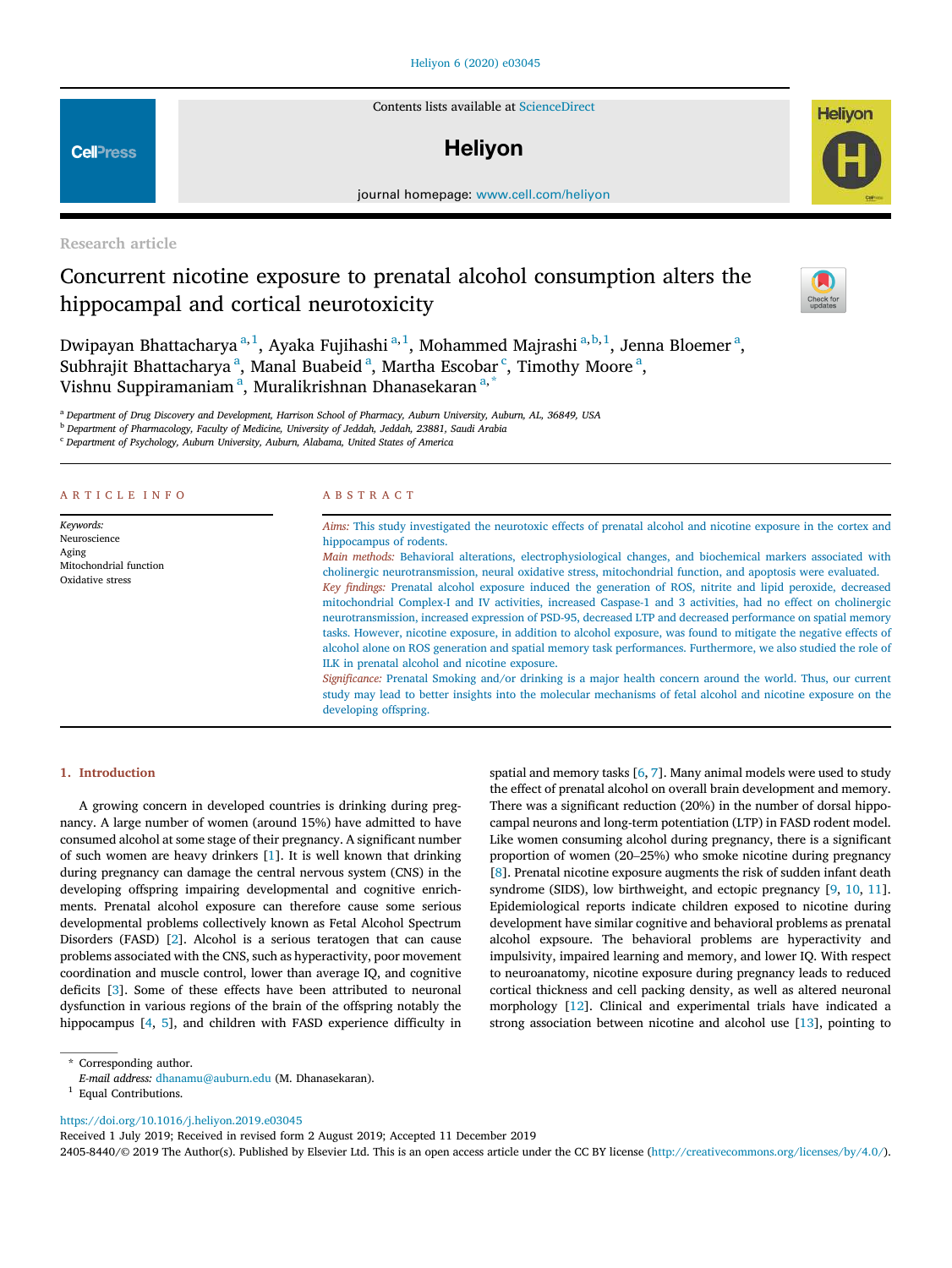# Heliyon 6 (2020) e03045

Contents lists available at ScienceDirect

# **Helivon**

journal homepage: www.cell.com/heliyon

Research article

# Concurrent nicotine exposure to prenatal alcohol consumption alters the hippocampal and cortical neurotoxicity



**Helivon** 

Dwipayan Bhattacharya <sup>a, 1</sup>, Ayaka Fujihashi <sup>a, 1</sup>, Mohammed Majrashi <sup>a, b, 1</sup>, Jenna Bloemer <sup>a</sup>, Subhrajit Bhattacharya<sup>a</sup>, Manal Buabeid<sup>a</sup>, Martha Escobar<sup>c</sup>, Timothy Moore<sup>a</sup>, Vishnu Suppiramaniam<sup>a</sup>, Muralikrishnan Dhanasekaran<sup>a,\*</sup>

<sup>a</sup> *Department of Drug Discovery and Development, Harrison School of Pharmacy, Auburn University, Auburn, AL, 36849, USA*

<sup>b</sup> *Department of Pharmacology, Faculty of Medicine, University of Jeddah, Jeddah, 23881, Saudi Arabia*

<sup>c</sup> *Department of Psychology, Auburn University, Auburn, Alabama, United States of America*

# ARTICLE INFO

*Keywords:* Neuroscience Aging Mitochondrial function Oxidative stress

# ABSTRACT

*Aims:* This study investigated the neurotoxic effects of prenatal alcohol and nicotine exposure in the cortex and hippocampus of rodents.

*Main methods:* Behavioral alterations, electrophysiological changes, and biochemical markers associated with cholinergic neurotransmission, neural oxidative stress, mitochondrial function, and apoptosis were evaluated. *Key* fi*ndings:* Prenatal alcohol exposure induced the generation of ROS, nitrite and lipid peroxide, decreased mitochondrial Complex-I and IV activities, increased Caspase-1 and 3 activities, had no effect on cholinergic neurotransmission, increased expression of PSD-95, decreased LTP and decreased performance on spatial memory tasks. However, nicotine exposure, in addition to alcohol exposure, was found to mitigate the negative effects of alcohol alone on ROS generation and spatial memory task performances. Furthermore, we also studied the role of ILK in prenatal alcohol and nicotine exposure.

*Signi*fi*cance:* Prenatal Smoking and/or drinking is a major health concern around the world. Thus, our current study may lead to better insights into the molecular mechanisms of fetal alcohol and nicotine exposure on the developing offspring.

# 1. Introduction

A growing concern in developed countries is drinking during pregnancy. A large number of women (around 15%) have admitted to have consumed alcohol at some stage of their pregnancy. A significant number of such women are heavy drinkers [1]. It is well known that drinking during pregnancy can damage the central nervous system (CNS) in the developing offspring impairing developmental and cognitive enrichments. Prenatal alcohol exposure can therefore cause some serious developmental problems collectively known as Fetal Alcohol Spectrum Disorders (FASD) [2]. Alcohol is a serious teratogen that can cause problems associated with the CNS, such as hyperactivity, poor movement coordination and muscle control, lower than average IQ, and cognitive deficits [3]. Some of these effects have been attributed to neuronal dysfunction in various regions of the brain of the offspring notably the hippocampus [4, 5], and children with FASD experience difficulty in spatial and memory tasks [6, 7]. Many animal models were used to study the effect of prenatal alcohol on overall brain development and memory. There was a significant reduction (20%) in the number of dorsal hippocampal neurons and long-term potentiation (LTP) in FASD rodent model. Like women consuming alcohol during pregnancy, there is a significant proportion of women (20–25%) who smoke nicotine during pregnancy [8]. Prenatal nicotine exposure augments the risk of sudden infant death syndrome (SIDS), low birthweight, and ectopic pregnancy [9, 10, 11]. Epidemiological reports indicate children exposed to nicotine during development have similar cognitive and behavioral problems as prenatal alcohol expsoure. The behavioral problems are hyperactivity and impulsivity, impaired learning and memory, and lower IQ. With respect to neuroanatomy, nicotine exposure during pregnancy leads to reduced cortical thickness and cell packing density, as well as altered neuronal morphology [12]. Clinical and experimental trials have indicated a strong association between nicotine and alcohol use [13], pointing to

\* Corresponding author.

https://doi.org/10.1016/j.heliyon.2019.e03045

Received 1 July 2019; Received in revised form 2 August 2019; Accepted 11 December 2019

2405-8440/© 2019 The Author(s). Published by Elsevier Ltd. This is an open access article under the CC BY license (http://creativecommons.org/licenses/by/4.0/).



*E-mail address:* dhanamu@auburn.edu (M. Dhanasekaran).

<sup>&</sup>lt;sup>1</sup> Equal Contributions.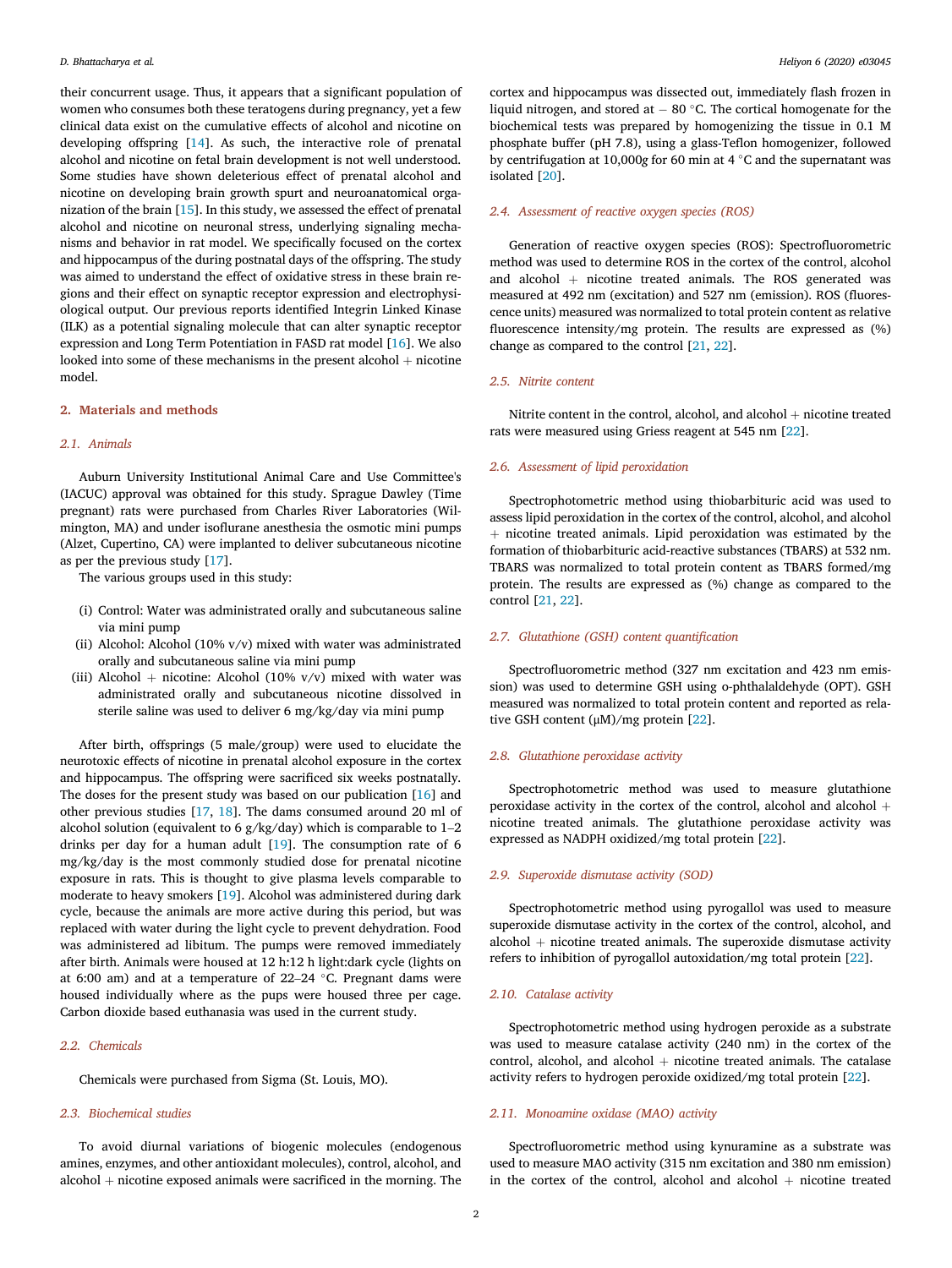their concurrent usage. Thus, it appears that a significant population of women who consumes both these teratogens during pregnancy, yet a few clinical data exist on the cumulative effects of alcohol and nicotine on developing offspring [14]. As such, the interactive role of prenatal alcohol and nicotine on fetal brain development is not well understood. Some studies have shown deleterious effect of prenatal alcohol and nicotine on developing brain growth spurt and neuroanatomical organization of the brain [15]. In this study, we assessed the effect of prenatal alcohol and nicotine on neuronal stress, underlying signaling mechanisms and behavior in rat model. We specifically focused on the cortex and hippocampus of the during postnatal days of the offspring. The study was aimed to understand the effect of oxidative stress in these brain regions and their effect on synaptic receptor expression and electrophysiological output. Our previous reports identified Integrin Linked Kinase (ILK) as a potential signaling molecule that can alter synaptic receptor expression and Long Term Potentiation in FASD rat model [16]. We also looked into some of these mechanisms in the present alcohol  $+$  nicotine model.

# 2. Materials and methods

#### *2.1. Animals*

Auburn University Institutional Animal Care and Use Committee's (IACUC) approval was obtained for this study. Sprague Dawley (Time pregnant) rats were purchased from Charles River Laboratories (Wilmington, MA) and under isoflurane anesthesia the osmotic mini pumps (Alzet, Cupertino, CA) were implanted to deliver subcutaneous nicotine as per the previous study [17].

The various groups used in this study:

- (i) Control: Water was administrated orally and subcutaneous saline via mini pump
- (ii) Alcohol: Alcohol (10% v/v) mixed with water was administrated orally and subcutaneous saline via mini pump
- (iii) Alcohol  $+$  nicotine: Alcohol (10% v/v) mixed with water was administrated orally and subcutaneous nicotine dissolved in sterile saline was used to deliver 6 mg/kg/day via mini pump

After birth, offsprings (5 male/group) were used to elucidate the neurotoxic effects of nicotine in prenatal alcohol exposure in the cortex and hippocampus. The offspring were sacrificed six weeks postnatally. The doses for the present study was based on our publication [16] and other previous studies [17, 18]. The dams consumed around 20 ml of alcohol solution (equivalent to 6 g/kg/day) which is comparable to 1–2 drinks per day for a human adult [19]. The consumption rate of 6 mg/kg/day is the most commonly studied dose for prenatal nicotine exposure in rats. This is thought to give plasma levels comparable to moderate to heavy smokers [19]. Alcohol was administered during dark cycle, because the animals are more active during this period, but was replaced with water during the light cycle to prevent dehydration. Food was administered ad libitum. The pumps were removed immediately after birth. Animals were housed at 12 h:12 h light:dark cycle (lights on at 6:00 am) and at a temperature of  $22-24$  °C. Pregnant dams were housed individually where as the pups were housed three per cage. Carbon dioxide based euthanasia was used in the current study.

#### *2.2. Chemicals*

Chemicals were purchased from Sigma (St. Louis, MO).

# *2.3. Biochemical studies*

To avoid diurnal variations of biogenic molecules (endogenous amines, enzymes, and other antioxidant molecules), control, alcohol, and alcohol  $+$  nicotine exposed animals were sacrificed in the morning. The

cortex and hippocampus was dissected out, immediately flash frozen in liquid nitrogen, and stored at  $-80$  °C. The cortical homogenate for the biochemical tests was prepared by homogenizing the tissue in 0.1 M phosphate buffer (pH 7.8), using a glass-Teflon homogenizer, followed by centrifugation at 10,000g for 60 min at 4 °C and the supernatant was isolated [20].

#### *2.4. Assessment of reactive oxygen species (ROS)*

Generation of reactive oxygen species (ROS): Spectrofluorometric method was used to determine ROS in the cortex of the control, alcohol and alcohol  $+$  nicotine treated animals. The ROS generated was measured at 492 nm (excitation) and 527 nm (emission). ROS (fluorescence units) measured was normalized to total protein content as relative fluorescence intensity/mg protein. The results are expressed as (%) change as compared to the control [21, 22].

#### *2.5. Nitrite content*

Nitrite content in the control, alcohol, and alcohol  $+$  nicotine treated rats were measured using Griess reagent at 545 nm [22].

#### *2.6. Assessment of lipid peroxidation*

Spectrophotometric method using thiobarbituric acid was used to assess lipid peroxidation in the cortex of the control, alcohol, and alcohol  $+$  nicotine treated animals. Lipid peroxidation was estimated by the formation of thiobarbituric acid-reactive substances (TBARS) at 532 nm. TBARS was normalized to total protein content as TBARS formed/mg protein. The results are expressed as (%) change as compared to the control [21, 22].

# *2.7. Glutathione (GSH) content quanti*fi*cation*

Spectrofluorometric method (327 nm excitation and 423 nm emission) was used to determine GSH using o-phthalaldehyde (OPT). GSH measured was normalized to total protein content and reported as relative GSH content (μM)/mg protein [22].

#### *2.8. Glutathione peroxidase activity*

Spectrophotometric method was used to measure glutathione peroxidase activity in the cortex of the control, alcohol and alcohol  $+$ nicotine treated animals. The glutathione peroxidase activity was expressed as NADPH oxidized/mg total protein [22].

# *2.9. Superoxide dismutase activity (SOD)*

Spectrophotometric method using pyrogallol was used to measure superoxide dismutase activity in the cortex of the control, alcohol, and alcohol  $+$  nicotine treated animals. The superoxide dismutase activity refers to inhibition of pyrogallol autoxidation/mg total protein [22].

# *2.10. Catalase activity*

Spectrophotometric method using hydrogen peroxide as a substrate was used to measure catalase activity (240 nm) in the cortex of the control, alcohol, and alcohol  $+$  nicotine treated animals. The catalase activity refers to hydrogen peroxide oxidized/mg total protein [22].

# *2.11. Monoamine oxidase (MAO) activity*

Spectrofluorometric method using kynuramine as a substrate was used to measure MAO activity (315 nm excitation and 380 nm emission) in the cortex of the control, alcohol and alcohol  $+$  nicotine treated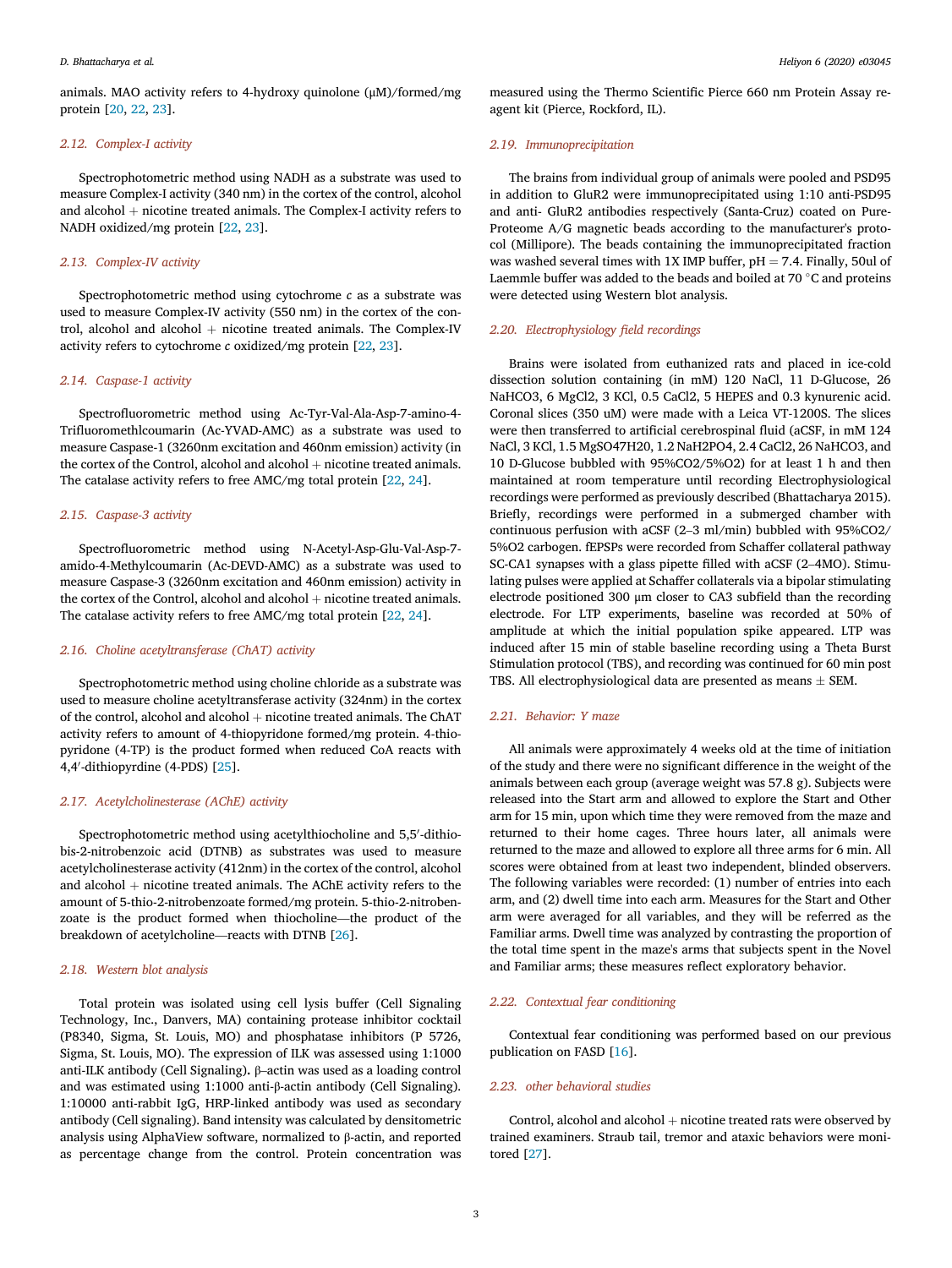*D. Bhattacharya et al. Heliyon 6 (2020) e03045*

animals. MAO activity refers to 4-hydroxy quinolone (μM)/formed/mg protein [20, 22, 23].

# *2.12. Complex-I activity*

Spectrophotometric method using NADH as a substrate was used to measure Complex-I activity (340 nm) in the cortex of the control, alcohol and alcohol  $+$  nicotine treated animals. The Complex-I activity refers to NADH oxidized/mg protein [22, 23].

# *2.13. Complex-IV activity*

Spectrophotometric method using cytochrome *c* as a substrate was used to measure Complex-IV activity (550 nm) in the cortex of the control, alcohol and alcohol  $+$  nicotine treated animals. The Complex-IV activity refers to cytochrome *c* oxidized/mg protein [22, 23].

# *2.14. Caspase-1 activity*

Spectrofluorometric method using Ac-Tyr-Val-Ala-Asp-7-amino-4- Trifluoromethlcoumarin (Ac-YVAD-AMC) as a substrate was used to measure Caspase-1 (3260nm excitation and 460nm emission) activity (in the cortex of the Control, alcohol and alcohol  $+$  nicotine treated animals. The catalase activity refers to free AMC/mg total protein [22, 24].

# *2.15. Caspase-3 activity*

Spectrofluorometric method using N-Acetyl-Asp-Glu-Val-Asp-7 amido-4-Methylcoumarin (Ac-DEVD-AMC) as a substrate was used to measure Caspase-3 (3260nm excitation and 460nm emission) activity in the cortex of the Control, alcohol and alcohol  $+$  nicotine treated animals. The catalase activity refers to free AMC/mg total protein [22, 24].

### *2.16. Choline acetyltransferase (ChAT) activity*

Spectrophotometric method using choline chloride as a substrate was used to measure choline acetyltransferase activity (324nm) in the cortex of the control, alcohol and alcohol  $+$  nicotine treated animals. The ChAT activity refers to amount of 4-thiopyridone formed/mg protein. 4-thiopyridone (4-TP) is the product formed when reduced CoA reacts with 4,4'-dithiopyrdine (4-PDS) [25].

#### *2.17. Acetylcholinesterase (AChE) activity*

Spectrophotometric method using acetylthiocholine and 5,5'-dithiobis-2-nitrobenzoic acid (DTNB) as substrates was used to measure acetylcholinesterase activity (412nm) in the cortex of the control, alcohol and alcohol  $+$  nicotine treated animals. The AChE activity refers to the amount of 5-thio-2-nitrobenzoate formed/mg protein. 5-thio-2-nitrobenzoate is the product formed when thiocholine—the product of the breakdown of acetylcholine—reacts with DTNB [26].

#### *2.18. Western blot analysis*

Total protein was isolated using cell lysis buffer (Cell Signaling Technology, Inc., Danvers, MA) containing protease inhibitor cocktail (P8340, Sigma, St. Louis, MO) and phosphatase inhibitors (P 5726, Sigma, St. Louis, MO). The expression of ILK was assessed using 1:1000 anti-ILK antibody (Cell Signaling). β–actin was used as a loading control and was estimated using 1:1000 anti-β-actin antibody (Cell Signaling). 1:10000 anti-rabbit IgG, HRP-linked antibody was used as secondary antibody (Cell signaling). Band intensity was calculated by densitometric analysis using AlphaView software, normalized to β-actin, and reported as percentage change from the control. Protein concentration was

measured using the Thermo Scientific Pierce 660 nm Protein Assay reagent kit (Pierce, Rockford, IL).

#### *2.19. Immunoprecipitation*

The brains from individual group of animals were pooled and PSD95 in addition to GluR2 were immunoprecipitated using 1:10 anti-PSD95 and anti- GluR2 antibodies respectively (Santa-Cruz) coated on Pure-Proteome A/G magnetic beads according to the manufacturer's protocol (Millipore). The beads containing the immunoprecipitated fraction was washed several times with 1X IMP buffer,  $pH = 7.4$ . Finally, 50ul of Laemmle buffer was added to the beads and boiled at 70  $\degree$ C and proteins were detected using Western blot analysis.

# *2.20. Electrophysiology* fi*eld recordings*

Brains were isolated from euthanized rats and placed in ice-cold dissection solution containing (in mM) 120 NaCl, 11 D-Glucose, 26 NaHCO3, 6 MgCl2, 3 KCl, 0.5 CaCl2, 5 HEPES and 0.3 kynurenic acid. Coronal slices (350 uM) were made with a Leica VT-1200S. The slices were then transferred to artificial cerebrospinal fluid (aCSF, in mM 124 NaCl, 3 KCl, 1.5 MgSO47H20, 1.2 NaH2PO4, 2.4 CaCl2, 26 NaHCO3, and 10 D-Glucose bubbled with 95%CO2/5%O2) for at least 1 h and then maintained at room temperature until recording Electrophysiological recordings were performed as previously described (Bhattacharya 2015). Briefly, recordings were performed in a submerged chamber with continuous perfusion with aCSF (2–3 ml/min) bubbled with 95%CO2/ 5%O2 carbogen. fEPSPs were recorded from Schaffer collateral pathway SC-CA1 synapses with a glass pipette filled with aCSF (2–4MO). Stimulating pulses were applied at Schaffer collaterals via a bipolar stimulating electrode positioned 300 μm closer to CA3 subfield than the recording electrode. For LTP experiments, baseline was recorded at 50% of amplitude at which the initial population spike appeared. LTP was induced after 15 min of stable baseline recording using a Theta Burst Stimulation protocol (TBS), and recording was continued for 60 min post TBS. All electrophysiological data are presented as means  $\pm$  SEM.

# *2.21. Behavior: Y maze*

All animals were approximately 4 weeks old at the time of initiation of the study and there were no significant difference in the weight of the animals between each group (average weight was 57.8 g). Subjects were released into the Start arm and allowed to explore the Start and Other arm for 15 min, upon which time they were removed from the maze and returned to their home cages. Three hours later, all animals were returned to the maze and allowed to explore all three arms for 6 min. All scores were obtained from at least two independent, blinded observers. The following variables were recorded: (1) number of entries into each arm, and (2) dwell time into each arm. Measures for the Start and Other arm were averaged for all variables, and they will be referred as the Familiar arms. Dwell time was analyzed by contrasting the proportion of the total time spent in the maze's arms that subjects spent in the Novel and Familiar arms; these measures reflect exploratory behavior.

# *2.22. Contextual fear conditioning*

Contextual fear conditioning was performed based on our previous publication on FASD [16].

## *2.23. other behavioral studies*

Control, alcohol and alcohol  $+$  nicotine treated rats were observed by trained examiners. Straub tail, tremor and ataxic behaviors were monitored [27].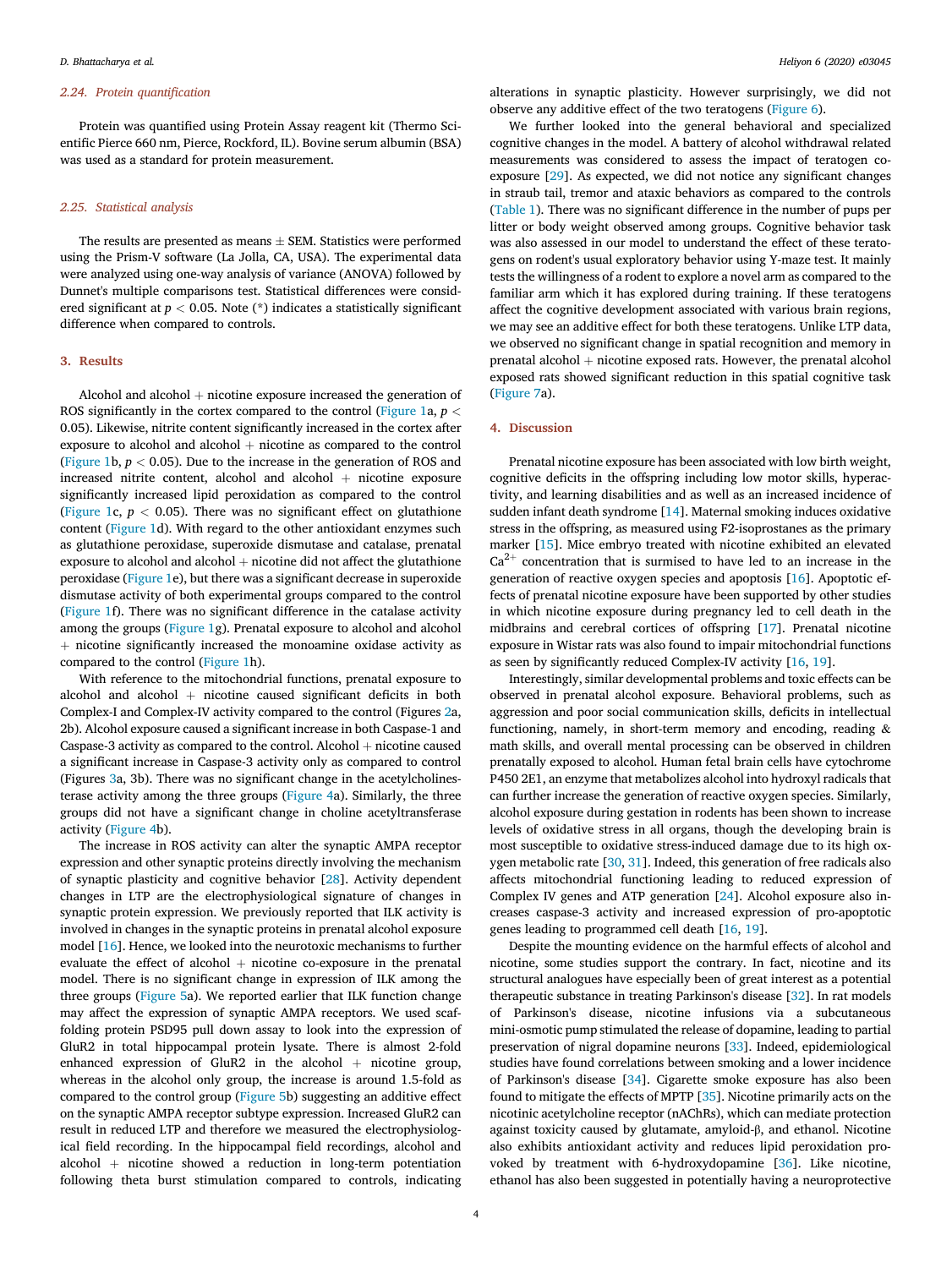#### *2.24. Protein quanti*fi*cation*

Protein was quantified using Protein Assay reagent kit (Thermo Scientific Pierce 660 nm, Pierce, Rockford, IL). Bovine serum albumin (BSA) was used as a standard for protein measurement.

#### *2.25. Statistical analysis*

The results are presented as means  $\pm$  SEM. Statistics were performed using the Prism-V software (La Jolla, CA, USA). The experimental data were analyzed using one-way analysis of variance (ANOVA) followed by Dunnet's multiple comparisons test. Statistical differences were considered significant at  $p < 0.05$ . Note  $(*)$  indicates a statistically significant difference when compared to controls.

#### 3. Results

Alcohol and alcohol  $+$  nicotine exposure increased the generation of ROS significantly in the cortex compared to the control (Figure 1a,  $p <$ 0.05). Likewise, nitrite content significantly increased in the cortex after exposure to alcohol and alcohol  $+$  nicotine as compared to the control (Figure 1b,  $p < 0.05$ ). Due to the increase in the generation of ROS and increased nitrite content, alcohol and alcohol  $+$  nicotine exposure significantly increased lipid peroxidation as compared to the control (Figure 1c,  $p < 0.05$ ). There was no significant effect on glutathione content (Figure 1d). With regard to the other antioxidant enzymes such as glutathione peroxidase, superoxide dismutase and catalase, prenatal exposure to alcohol and alcohol  $+$  nicotine did not affect the glutathione peroxidase (Figure 1e), but there was a significant decrease in superoxide dismutase activity of both experimental groups compared to the control (Figure 1f). There was no significant difference in the catalase activity among the groups (Figure 1g). Prenatal exposure to alcohol and alcohol  $+$  nicotine significantly increased the monoamine oxidase activity as compared to the control (Figure 1h).

With reference to the mitochondrial functions, prenatal exposure to alcohol and alcohol  $+$  nicotine caused significant deficits in both Complex-I and Complex-IV activity compared to the control (Figures 2a, 2b). Alcohol exposure caused a significant increase in both Caspase-1 and Caspase-3 activity as compared to the control. Alcohol  $+$  nicotine caused a significant increase in Caspase-3 activity only as compared to control (Figures 3a, 3b). There was no significant change in the acetylcholinesterase activity among the three groups (Figure 4a). Similarly, the three groups did not have a significant change in choline acetyltransferase activity (Figure 4b).

The increase in ROS activity can alter the synaptic AMPA receptor expression and other synaptic proteins directly involving the mechanism of synaptic plasticity and cognitive behavior [28]. Activity dependent changes in LTP are the electrophysiological signature of changes in synaptic protein expression. We previously reported that ILK activity is involved in changes in the synaptic proteins in prenatal alcohol exposure model [16]. Hence, we looked into the neurotoxic mechanisms to further evaluate the effect of alcohol  $+$  nicotine co-exposure in the prenatal model. There is no significant change in expression of ILK among the three groups (Figure 5a). We reported earlier that ILK function change may affect the expression of synaptic AMPA receptors. We used scaffolding protein PSD95 pull down assay to look into the expression of GluR2 in total hippocampal protein lysate. There is almost 2-fold enhanced expression of GluR2 in the alcohol  $+$  nicotine group, whereas in the alcohol only group, the increase is around 1.5-fold as compared to the control group (Figure 5b) suggesting an additive effect on the synaptic AMPA receptor subtype expression. Increased GluR2 can result in reduced LTP and therefore we measured the electrophysiological field recording. In the hippocampal field recordings, alcohol and alcohol  $+$  nicotine showed a reduction in long-term potentiation following theta burst stimulation compared to controls, indicating alterations in synaptic plasticity. However surprisingly, we did not observe any additive effect of the two teratogens (Figure 6).

We further looked into the general behavioral and specialized cognitive changes in the model. A battery of alcohol withdrawal related measurements was considered to assess the impact of teratogen coexposure [29]. As expected, we did not notice any significant changes in straub tail, tremor and ataxic behaviors as compared to the controls (Table 1). There was no significant difference in the number of pups per litter or body weight observed among groups. Cognitive behavior task was also assessed in our model to understand the effect of these teratogens on rodent's usual exploratory behavior using Y-maze test. It mainly tests the willingness of a rodent to explore a novel arm as compared to the familiar arm which it has explored during training. If these teratogens affect the cognitive development associated with various brain regions, we may see an additive effect for both these teratogens. Unlike LTP data, we observed no significant change in spatial recognition and memory in prenatal alcohol  $+$  nicotine exposed rats. However, the prenatal alcohol exposed rats showed significant reduction in this spatial cognitive task (Figure 7a).

# 4. Discussion

Prenatal nicotine exposure has been associated with low birth weight, cognitive deficits in the offspring including low motor skills, hyperactivity, and learning disabilities and as well as an increased incidence of sudden infant death syndrome [14]. Maternal smoking induces oxidative stress in the offspring, as measured using F2-isoprostanes as the primary marker [15]. Mice embryo treated with nicotine exhibited an elevated  $Ca<sup>2+</sup>$  concentration that is surmised to have led to an increase in the generation of reactive oxygen species and apoptosis [16]. Apoptotic effects of prenatal nicotine exposure have been supported by other studies in which nicotine exposure during pregnancy led to cell death in the midbrains and cerebral cortices of offspring [17]. Prenatal nicotine exposure in Wistar rats was also found to impair mitochondrial functions as seen by significantly reduced Complex-IV activity [16, 19].

Interestingly, similar developmental problems and toxic effects can be observed in prenatal alcohol exposure. Behavioral problems, such as aggression and poor social communication skills, deficits in intellectual functioning, namely, in short-term memory and encoding, reading & math skills, and overall mental processing can be observed in children prenatally exposed to alcohol. Human fetal brain cells have cytochrome P450 2E1, an enzyme that metabolizes alcohol into hydroxyl radicals that can further increase the generation of reactive oxygen species. Similarly, alcohol exposure during gestation in rodents has been shown to increase levels of oxidative stress in all organs, though the developing brain is most susceptible to oxidative stress-induced damage due to its high oxygen metabolic rate [30, 31]. Indeed, this generation of free radicals also affects mitochondrial functioning leading to reduced expression of Complex IV genes and ATP generation [24]. Alcohol exposure also increases caspase-3 activity and increased expression of pro-apoptotic genes leading to programmed cell death [16, 19].

Despite the mounting evidence on the harmful effects of alcohol and nicotine, some studies support the contrary. In fact, nicotine and its structural analogues have especially been of great interest as a potential therapeutic substance in treating Parkinson's disease [32]. In rat models of Parkinson's disease, nicotine infusions via a subcutaneous mini-osmotic pump stimulated the release of dopamine, leading to partial preservation of nigral dopamine neurons [33]. Indeed, epidemiological studies have found correlations between smoking and a lower incidence of Parkinson's disease [34]. Cigarette smoke exposure has also been found to mitigate the effects of MPTP [35]. Nicotine primarily acts on the nicotinic acetylcholine receptor (nAChRs), which can mediate protection against toxicity caused by glutamate, amyloid-β, and ethanol. Nicotine also exhibits antioxidant activity and reduces lipid peroxidation provoked by treatment with 6-hydroxydopamine [36]. Like nicotine, ethanol has also been suggested in potentially having a neuroprotective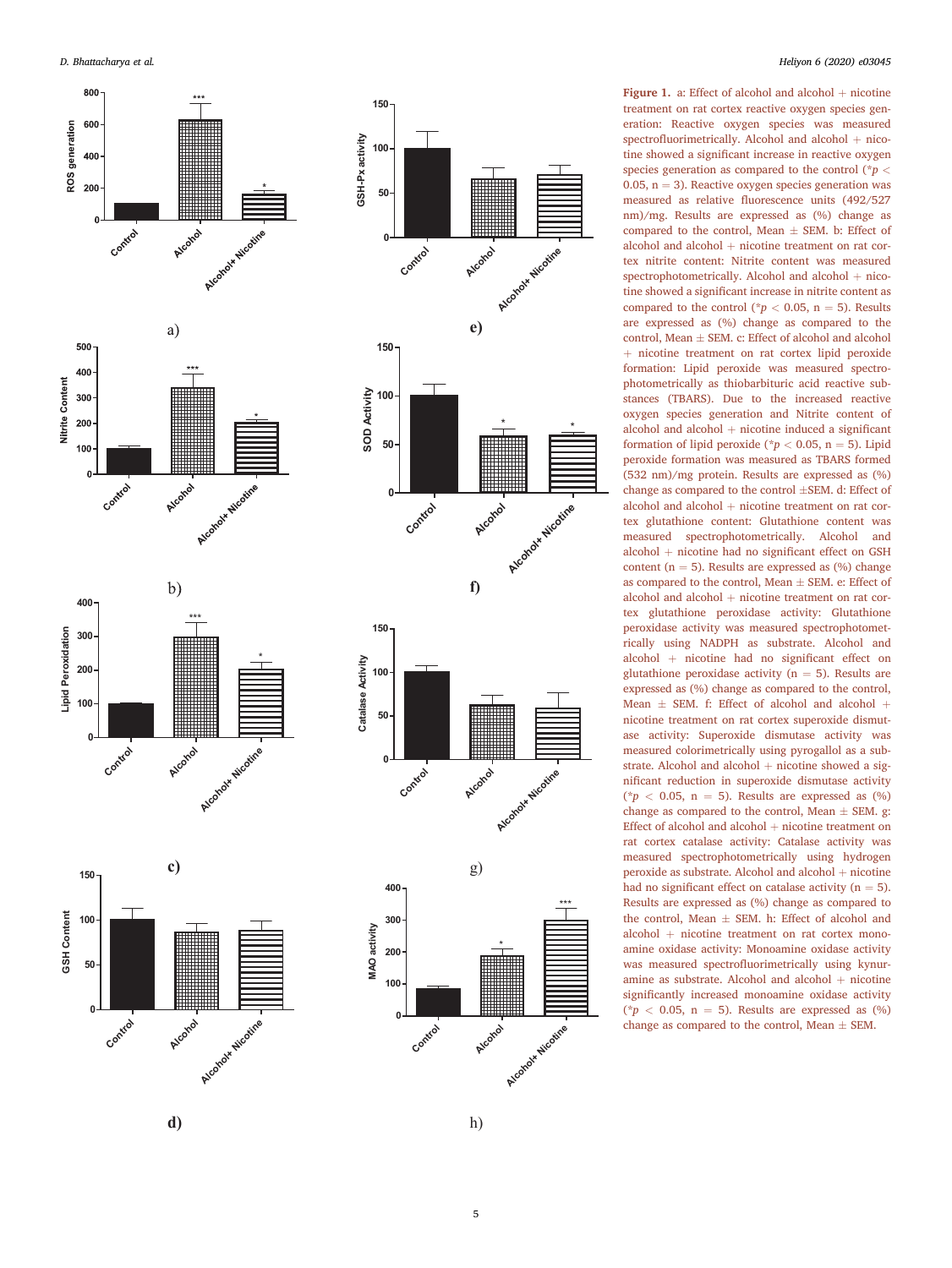







Figure 1. a: Effect of alcohol and alcohol  $+$  nicotine treatment on rat cortex reactive oxygen species generation: Reactive oxygen species was measured spectrofluorimetrically. Alcohol and alcohol + nicotine showed a significant increase in reactive oxygen species generation as compared to the control (\**p* < 0.05,  $n = 3$ ). Reactive oxygen species generation was measured as relative fluorescence units (492/527 nm)/mg. Results are expressed as (%) change as compared to the control, Mean  $\pm$  SEM. b: Effect of alcohol and alcohol + nicotine treatment on rat cortex nitrite content: Nitrite content was measured spectrophotometrically. Alcohol and alcohol + nicotine showed a significant increase in nitrite content as compared to the control ( $p < 0.05$ , n = 5). Results are expressed as (%) change as compared to the control, Mean  $\pm$  SEM. c: Effect of alcohol and alcohol þ nicotine treatment on rat cortex lipid peroxide formation: Lipid peroxide was measured spectrophotometrically as thiobarbituric acid reactive substances (TBARS). Due to the increased reactive oxygen species generation and Nitrite content of  $alcohol$  and  $alcohol$  + nicotine induced a significant formation of lipid peroxide ( $p < 0.05$ , n = 5). Lipid peroxide formation was measured as TBARS formed (532 nm)/mg protein. Results are expressed as (%) change as compared to the control ±SEM. d: Effect of alcohol and alcohol + nicotine treatment on rat cortex glutathione content: Glutathione content was measured spectrophotometrically. Alcohol and alcohol þ nicotine had no signi ficant effect on GSH content ( $n = 5$ ). Results are expressed as (%) change as compared to the control, Mean  $\pm$  SEM. e: Effect of alcohol and alcohol + nicotine treatment on rat cortex glutathione peroxidase activity: Glutathione peroxidase activity was measured spectrophotometrically using NADPH as substrate. Alcohol and alcohol þ nicotine had no signi ficant effect on glutathione peroxidase activity ( $n = 5$ ). Results are expressed as (%) change as compared to the control, Mean  $\pm$  SEM. f: Effect of alcohol and alcohol + nicotine treatment on rat cortex superoxide dismutase activity: Superoxide dismutase activity was measured colorimetrically using pyrogallol as a substrate. Alcohol and alcohol  $+$  nicotine showed a significant reduction in superoxide dismutase activity ( $p < 0.05$ , n = 5). Results are expressed as (%) change as compared to the control, Mean  $\pm$  SEM. g: Effect of alcohol and alcohol + nicotine treatment on rat cortex catalase activity: Catalase activity was measured spectrophotometrically using hydrogen peroxide as substrate. Alcohol and alcohol + nicotine had no significant effect on catalase activity  $(n = 5)$ . Results are expressed as (%) change as compared to the control, Mean  $\pm$  SEM. h: Effect of alcohol and alcohol + nicotine treatment on rat cortex monoamine oxidase activity: Monoamine oxidase activity was measured spectro fluorimetrically using kynuramine as substrate. Alcohol and alcohol  $+$  nicotine signi ficantly increased monoamine oxidase activity ( $p < 0.05$ , n = 5). Results are expressed as (%) change as compared to the control, Mean  $\pm$  SEM.

h)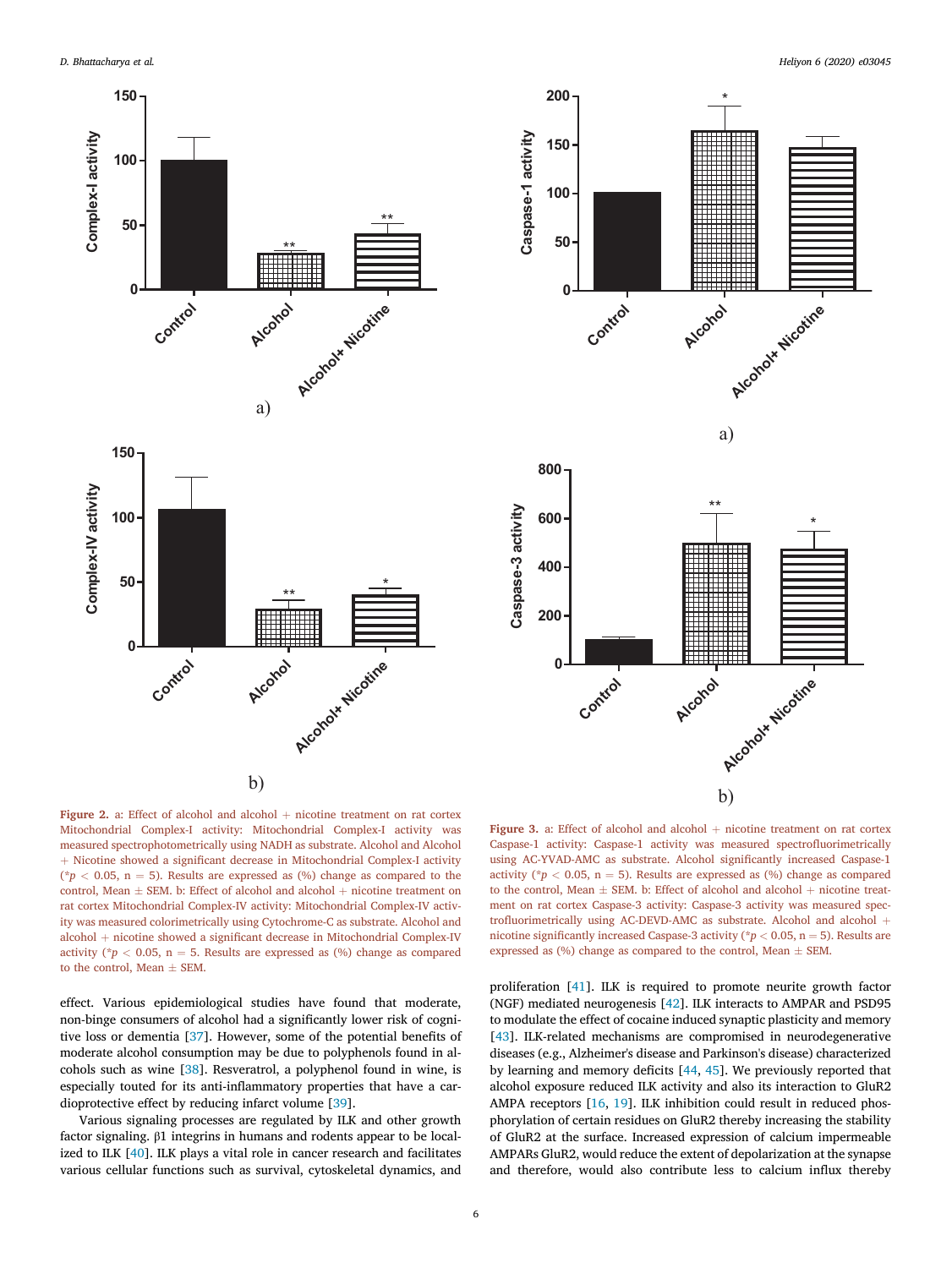



Figure 2. a: Effect of alcohol and alcohol  $+$  nicotine treatment on rat cortex Mitochondrial Complex-I activity: Mitochondrial Complex-I activity was measured spectrophotometrically using NADH as substrate. Alcohol and Alcohol + Nicotine showed a significant decrease in Mitochondrial Complex-I activity ( $p < 0.05$ , n = 5). Results are expressed as (%) change as compared to the control, Mean  $\pm$  SEM. b: Effect of alcohol and alcohol + nicotine treatment on rat cortex Mitochondrial Complex-IV activity: Mitochondrial Complex-IV activity was measured colorimetrically using Cytochrome-C as substrate. Alcohol and alcohol + nicotine showed a significant decrease in Mitochondrial Complex-IV activity ( $*p < 0.05$ , n = 5. Results are expressed as (%) change as compared to the control, Mean  $\pm$  SEM.

effect. Various epidemiological studies have found that moderate, non-binge consumers of alcohol had a significantly lower risk of cognitive loss or dementia [37]. However, some of the potential benefits of moderate alcohol consumption may be due to polyphenols found in alcohols such as wine [38]. Resveratrol, a polyphenol found in wine, is especially touted for its anti-inflammatory properties that have a cardioprotective effect by reducing infarct volume [39].

Various signaling processes are regulated by ILK and other growth factor signaling. β1 integrins in humans and rodents appear to be localized to ILK [40]. ILK plays a vital role in cancer research and facilitates various cellular functions such as survival, cytoskeletal dynamics, and

Figure 3. a: Effect of alcohol and alcohol  $+$  nicotine treatment on rat cortex Caspase-1 activity: Caspase-1 activity was measured spectrofluorimetrically using AC-YVAD-AMC as substrate. Alcohol significantly increased Caspase-1 activity ( $*p < 0.05$ , n = 5). Results are expressed as (%) change as compared to the control, Mean  $\pm$  SEM. b: Effect of alcohol and alcohol  $+$  nicotine treatment on rat cortex Caspase-3 activity: Caspase-3 activity was measured spectrofluorimetrically using AC-DEVD-AMC as substrate. Alcohol and alcohol  $+$ nicotine significantly increased Caspase-3 activity (\* $p < 0.05,$   $\mathrm{n} = 5$  ). Results are expressed as  $(\%)$  change as compared to the control, Mean  $\pm$  SEM.

proliferation [41]. ILK is required to promote neurite growth factor (NGF) mediated neurogenesis [42]. ILK interacts to AMPAR and PSD95 to modulate the effect of cocaine induced synaptic plasticity and memory [43]. ILK-related mechanisms are compromised in neurodegenerative diseases (e.g., Alzheimer's disease and Parkinson's disease) characterized by learning and memory deficits [44, 45]. We previously reported that alcohol exposure reduced ILK activity and also its interaction to GluR2 AMPA receptors [16, 19]. ILK inhibition could result in reduced phosphorylation of certain residues on GluR2 thereby increasing the stability of GluR2 at the surface. Increased expression of calcium impermeable AMPARs GluR2, would reduce the extent of depolarization at the synapse and therefore, would also contribute less to calcium influx thereby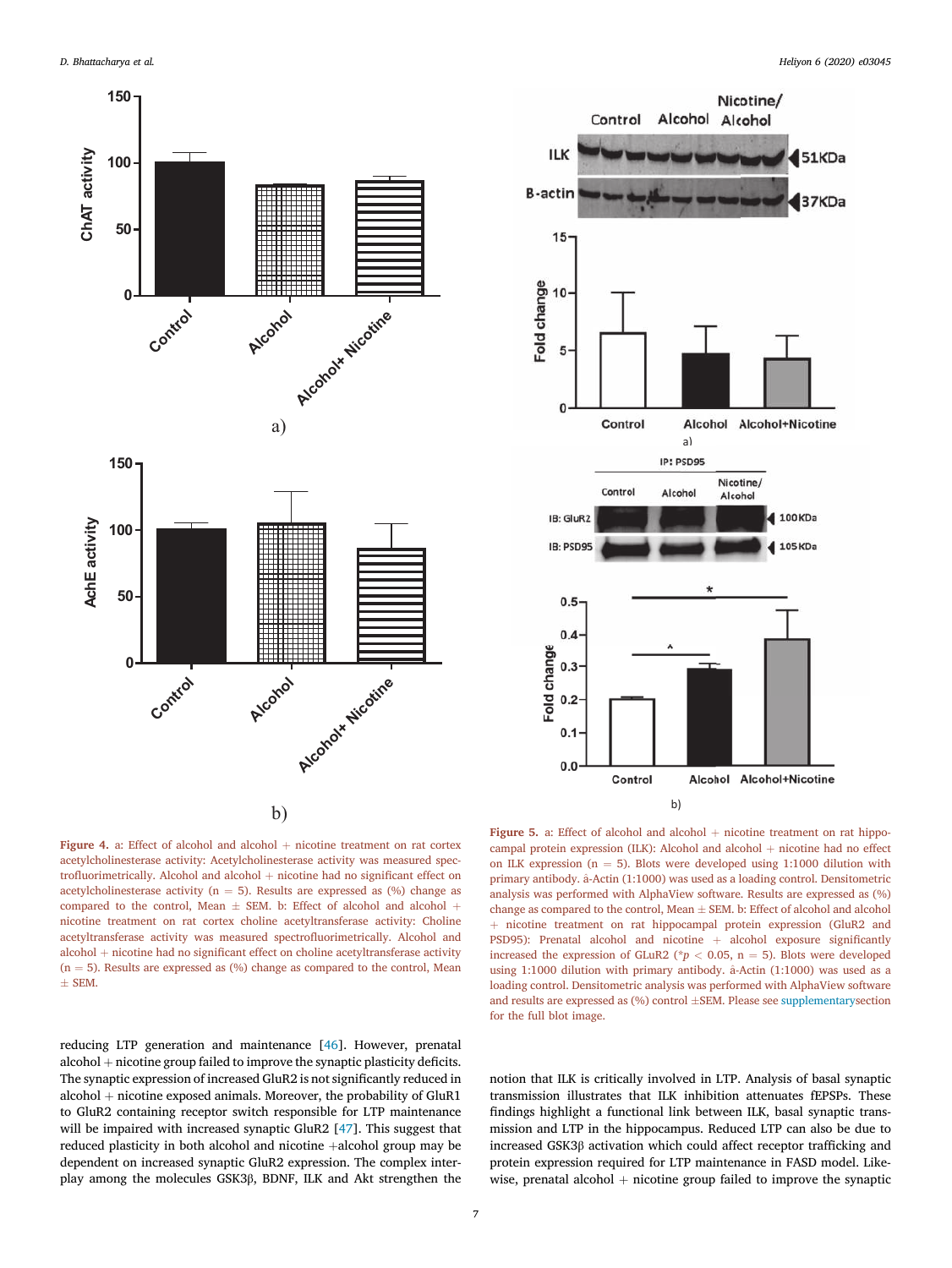



Figure 4. a: Effect of alcohol and alcohol  $+$  nicotine treatment on rat cortex acetylcholinesterase activity: Acetylcholinesterase activity was measured spectrofluorimetrically. Alcohol and alcohol  $+$  nicotine had no significant effect on acetylcholinesterase activity ( $n = 5$ ). Results are expressed as (%) change as compared to the control, Mean  $\pm$  SEM. b: Effect of alcohol and alcohol + nicotine treatment on rat cortex choline acetyltransferase activity: Choline acetyltransferase activity was measured spectrofluorimetrically. Alcohol and  $alcohol + nicotine had no significant effect on choline acetyltransferase activity$  $(n = 5)$ . Results are expressed as  $(\%)$  change as compared to the control, Mean  $\pm$  SEM.

Figure 5. a: Effect of alcohol and alcohol  $+$  nicotine treatment on rat hippocampal protein expression (ILK): Alcohol and alcohol  $+$  nicotine had no effect on ILK expression ( $n = 5$ ). Blots were developed using 1:1000 dilution with primary antibody.  $\hat{a}$ -Actin (1:1000) was used as a loading control. Densitometric analysis was performed with AlphaView software. Results are expressed as (%) change as compared to the control, Mean  $\pm$  SEM. b: Effect of alcohol and alcohol þ nicotine treatment on rat hippocampal protein expression (GluR2 and PSD95): Prenatal alcohol and nicotine  $+$  alcohol exposure significantly increased the expression of GLuR2 ( $p < 0.05$ , n = 5). Blots were developed using 1:1000 dilution with primary antibody.  $\hat{a}$ -Actin (1:1000) was used as a loading control. Densitometric analysis was performed with AlphaView software and results are expressed as  $(\%)$  control  $\pm$ SEM. Please see supplementarysection for the full blot image.

reducing LTP generation and maintenance [46]. However, prenatal  $alcohol + nicotine group failed to improve the synaptic plasticity deficits.$ The synaptic expression of increased GluR2 is not significantly reduced in alcohol  $+$  nicotine exposed animals. Moreover, the probability of GluR1 to GluR2 containing receptor switch responsible for LTP maintenance will be impaired with increased synaptic GluR2 [47]. This suggest that reduced plasticity in both alcohol and nicotine  $+$ alcohol group may be dependent on increased synaptic GluR2 expression. The complex interplay among the molecules GSK3β, BDNF, ILK and Akt strengthen the

notion that ILK is critically involved in LTP. Analysis of basal synaptic transmission illustrates that ILK inhibition attenuates fEPSPs. These findings highlight a functional link between ILK, basal synaptic transmission and LTP in the hippocampus. Reduced LTP can also be due to increased GSK3β activation which could affect receptor trafficking and protein expression required for LTP maintenance in FASD model. Likewise, prenatal alcohol  $+$  nicotine group failed to improve the synaptic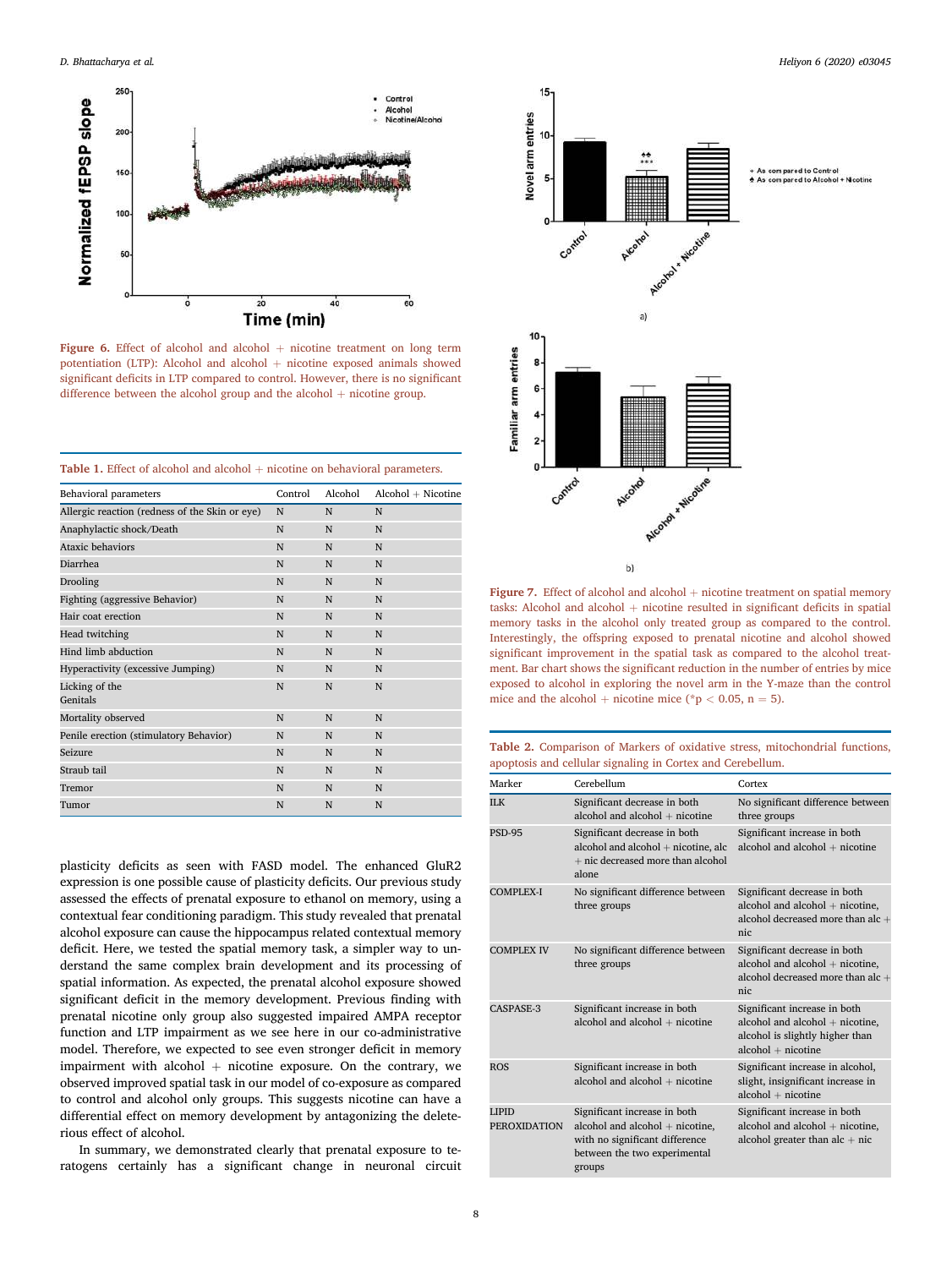

Figure 6. Effect of alcohol and alcohol  $+$  nicotine treatment on long term potentiation (LTP): Alcohol and alcohol  $+$  nicotine exposed animals showed significant deficits in LTP compared to control. However, there is no significant difference between the alcohol group and the alcohol  $+$  nicotine group.

| <b>Table 1.</b> Effect of alcohol and alcohol $+$ nicotine on behavioral parameters. |  |  |  |  |
|--------------------------------------------------------------------------------------|--|--|--|--|
|--------------------------------------------------------------------------------------|--|--|--|--|

| Control | Alcohol | $Alcohol + Nicotine$ |
|---------|---------|----------------------|
| N       | N       | N                    |
| N       | N       | N                    |
| N       | N       | N                    |
| N       | N       | N                    |
| N       | N       | N                    |
| N       | N       | N                    |
| N       | N       | N                    |
| N       | N       | N                    |
| N       | N       | N                    |
| N       | N       | N                    |
| N       | N       | N                    |
| N       | N       | N                    |
| N       | N       | N                    |
| N       | N       | N                    |
| N       | N       | N                    |
| N       | N       | N                    |
| N       | N       | N                    |
|         |         |                      |

plasticity deficits as seen with FASD model. The enhanced GluR2 expression is one possible cause of plasticity deficits. Our previous study assessed the effects of prenatal exposure to ethanol on memory, using a contextual fear conditioning paradigm. This study revealed that prenatal alcohol exposure can cause the hippocampus related contextual memory deficit. Here, we tested the spatial memory task, a simpler way to understand the same complex brain development and its processing of spatial information. As expected, the prenatal alcohol exposure showed significant deficit in the memory development. Previous finding with prenatal nicotine only group also suggested impaired AMPA receptor function and LTP impairment as we see here in our co-administrative model. Therefore, we expected to see even stronger deficit in memory impairment with alcohol  $+$  nicotine exposure. On the contrary, we observed improved spatial task in our model of co-exposure as compared to control and alcohol only groups. This suggests nicotine can have a differential effect on memory development by antagonizing the deleterious effect of alcohol.

In summary, we demonstrated clearly that prenatal exposure to teratogens certainly has a significant change in neuronal circuit



Figure 7. Effect of alcohol and alcohol  $+$  nicotine treatment on spatial memory tasks: Alcohol and alcohol  $+$  nicotine resulted in significant deficits in spatial memory tasks in the alcohol only treated group as compared to the control. Interestingly, the offspring exposed to prenatal nicotine and alcohol showed significant improvement in the spatial task as compared to the alcohol treatment. Bar chart shows the significant reduction in the number of entries by mice exposed to alcohol in exploring the novel arm in the Y-maze than the control mice and the alcohol + nicotine mice (\*p < 0.05, n = 5).

Table 2. Comparison of Markers of oxidative stress, mitochondrial functions, apoptosis and cellular signaling in Cortex and Cerebellum.

| Marker                              | Cerebellum                                                                                                                                  | Cortex                                                                                                                     |
|-------------------------------------|---------------------------------------------------------------------------------------------------------------------------------------------|----------------------------------------------------------------------------------------------------------------------------|
| <b>ILK</b>                          | Significant decrease in both<br>alcohol and alcohol $+$ nicotine                                                                            | No significant difference between<br>three groups                                                                          |
| <b>PSD-95</b>                       | Significant decrease in both<br>alcohol and alcohol $+$ nicotine, alc<br>$+$ nic decreased more than alcohol<br>alone                       | Significant increase in both<br>alcohol and alcohol $+$ nicotine                                                           |
| <b>COMPLEX-I</b>                    | No significant difference between<br>three groups                                                                                           | Significant decrease in both<br>alcohol and alcohol $+$ nicotine,<br>alcohol decreased more than alc +<br>nic              |
| <b>COMPLEX IV</b>                   | No significant difference between<br>three groups                                                                                           | Significant decrease in both<br>alcohol and alcohol + nicotine,<br>alcohol decreased more than alc +<br>nic                |
| CASPASE-3                           | Significant increase in both<br>alcohol and alcohol + nicotine                                                                              | Significant increase in both<br>alcohol and alcohol + nicotine,<br>alcohol is slightly higher than<br>$alcohol + nicotine$ |
| <b>ROS</b>                          | Significant increase in both<br>alcohol and alcohol + nicotine                                                                              | Significant increase in alcohol,<br>slight, insignificant increase in<br>$alcohol + nicotine$                              |
| <b>LIPID</b><br><b>PEROXIDATION</b> | Significant increase in both<br>alcohol and alcohol + nicotine,<br>with no significant difference<br>between the two experimental<br>groups | Significant increase in both<br>alcohol and alcohol + nicotine,<br>alcohol greater than $alc + nic$                        |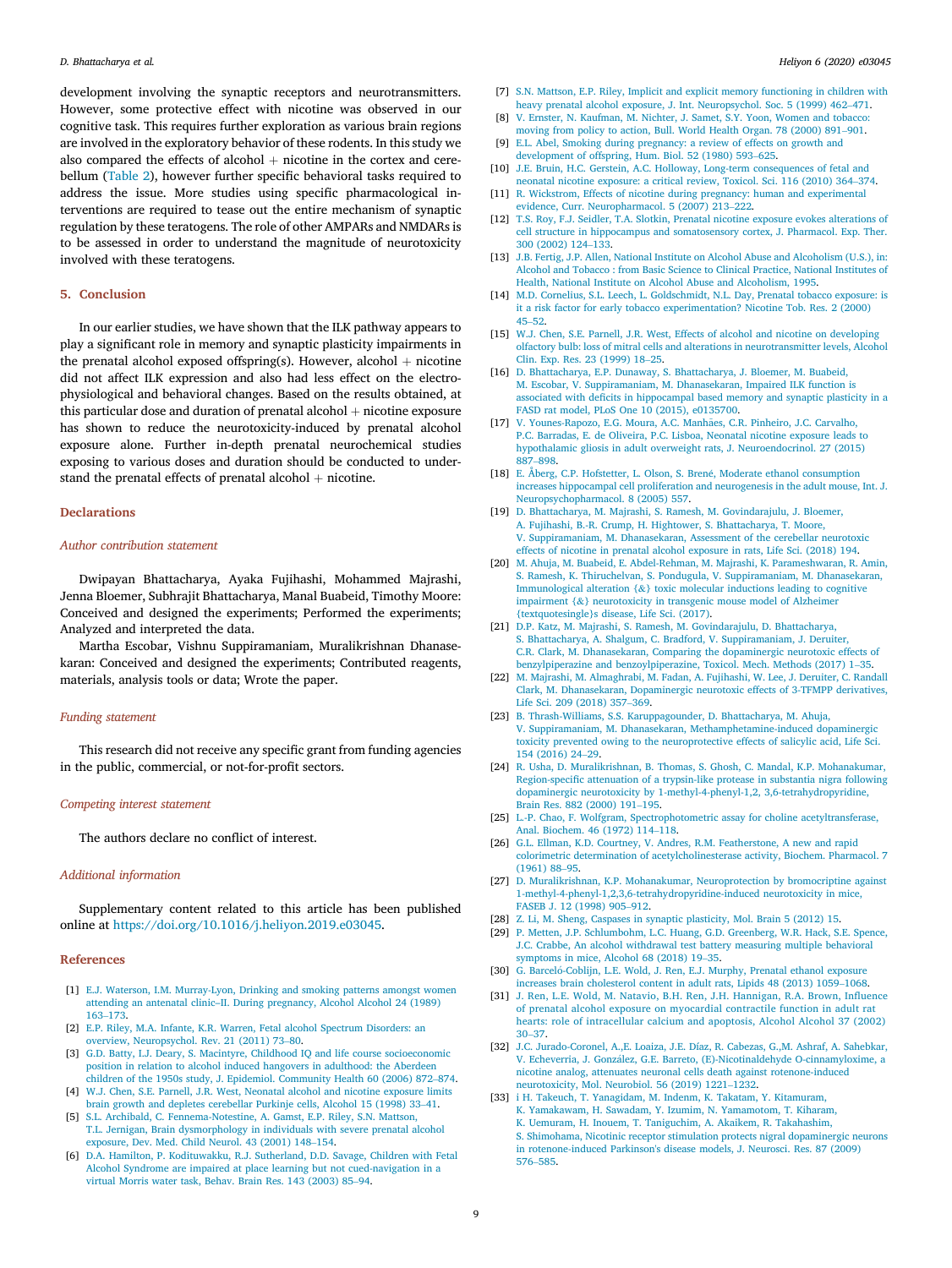development involving the synaptic receptors and neurotransmitters. However, some protective effect with nicotine was observed in our cognitive task. This requires further exploration as various brain regions are involved in the exploratory behavior of these rodents. In this study we also compared the effects of alcohol  $+$  nicotine in the cortex and cerebellum (Table 2), however further specific behavioral tasks required to address the issue. More studies using specific pharmacological interventions are required to tease out the entire mechanism of synaptic regulation by these teratogens. The role of other AMPARs and NMDARs is to be assessed in order to understand the magnitude of neurotoxicity involved with these teratogens.

#### 5. Conclusion

In our earlier studies, we have shown that the ILK pathway appears to play a significant role in memory and synaptic plasticity impairments in the prenatal alcohol exposed offspring(s). However, alcohol  $+$  nicotine did not affect ILK expression and also had less effect on the electrophysiological and behavioral changes. Based on the results obtained, at this particular dose and duration of prenatal alcohol  $+$  nicotine exposure has shown to reduce the neurotoxicity-induced by prenatal alcohol exposure alone. Further in-depth prenatal neurochemical studies exposing to various doses and duration should be conducted to understand the prenatal effects of prenatal alcohol  $+$  nicotine.

#### **Declarations**

#### *Author contribution statement*

Dwipayan Bhattacharya, Ayaka Fujihashi, Mohammed Majrashi, Jenna Bloemer, Subhrajit Bhattacharya, Manal Buabeid, Timothy Moore: Conceived and designed the experiments; Performed the experiments; Analyzed and interpreted the data.

Martha Escobar, Vishnu Suppiramaniam, Muralikrishnan Dhanasekaran: Conceived and designed the experiments; Contributed reagents, materials, analysis tools or data; Wrote the paper.

#### *Funding statement*

This research did not receive any specific grant from funding agencies in the public, commercial, or not-for-profit sectors.

# *Competing interest statement*

The authors declare no conflict of interest.

#### *Additional information*

Supplementary content related to this article has been published online at https://doi.org/10.1016/j.heliyon.2019.e03045.

#### References

- [1] E.J. Waterson, I.M. Murray-Lyon, Drinking and smoking patterns amongst women attending an antenatal clinic–II. During pregnancy, Alcohol Alcohol 24 (1989) 163–173.
- [2] E.P. Riley, M.A. Infante, K.R. Warren, Fetal alcohol Spectrum Disorders: an overview, Neuropsychol. Rev. 21 (2011) 73–80.
- [3] G.D. Batty, I.J. Deary, S. Macintyre, Childhood IQ and life course socioeconomic position in relation to alcohol induced hangovers in adulthood: the Aberdeen children of the 1950s study, J. Epidemiol. Community Health 60 (2006) 872–874.
- [4] W.J. Chen, S.E. Parnell, J.R. West, Neonatal alcohol and nicotine exposure limits brain growth and depletes cerebellar Purkinje cells, Alcohol 15 (1998) 33–41. [5] S.L. Archibald, C. Fennema-Notestine, A. Gamst, E.P. Riley, S.N. Mattson,
- T.L. Jernigan, Brain dysmorphology in individuals with severe prenatal alcohol exposure, Dev. Med. Child Neurol. 43 (2001) 148–154.
- [6] D.A. Hamilton, P. Kodituwakku, R.J. Sutherland, D.D. Savage, Children with Fetal Alcohol Syndrome are impaired at place learning but not cued-navigation in a virtual Morris water task, Behav. Brain Res. 143 (2003) 85–94.
- [7] S.N. Mattson, E.P. Riley, Implicit and explicit memory functioning in children with heavy prenatal alcohol exposure, J. Int. Neuropsychol. Soc. 5 (1999) 462–471.
- [8] V. Ernster, N. Kaufman, M. Nichter, J. Samet, S.Y. Yoon, Women and tobacco: moving from policy to action, Bull. World Health Organ. 78 (2000) 891–901.
- [9] E.L. Abel, Smoking during pregnancy: a review of effects on growth and development of offspring, Hum. Biol. 52 (1980) 593–625.
- [10] J.E. Bruin, H.C. Gerstein, A.C. Holloway, Long-term consequences of fetal and neonatal nicotine exposure: a critical review, Toxicol. Sci. 116 (2010) 364–374.
- [11] R. Wickstrom, Effects of nicotine during pregnancy: human and experimental evidence, Curr. Neuropharmacol. 5 (2007) 213–222.
- [12] T.S. Roy, F.J. Seidler, T.A. Slotkin, Prenatal nicotine exposure evokes alterations of cell structure in hippocampus and somatosensory cortex, J. Pharmacol. Exp. Ther. 300 (2002) 124–133.
- [13] J.B. Fertig, J.P. Allen, National Institute on Alcohol Abuse and Alcoholism (U.S.), in: Alcohol and Tobacco : from Basic Science to Clinical Practice, National Institutes of Health, National Institute on Alcohol Abuse and Alcoholism, 1995.
- [14] M.D. Cornelius, S.L. Leech, L. Goldschmidt, N.L. Day, Prenatal tobacco exposure: is it a risk factor for early tobacco experimentation? Nicotine Tob. Res. 2 (2000) 45–52.
- [15] W.J. Chen, S.E. Parnell, J.R. West, Effects of alcohol and nicotine on developing olfactory bulb: loss of mitral cells and alterations in neurotransmitter levels, Alcohol Clin. Exp. Res. 23 (1999) 18–25.
- [16] D. Bhattacharya, E.P. Dunaway, S. Bhattacharya, J. Bloemer, M. Buabeid, M. Escobar, V. Suppiramaniam, M. Dhanasekaran, Impaired ILK function is associated with deficits in hippocampal based memory and synaptic plasticity in a FASD rat model, PLoS One 10 (2015), e0135700.
- [17] V. Younes-Rapozo, E.G. Moura, A.C. Manhães, C.R. Pinheiro, J.C. Carvalho, P.C. Barradas, E. de Oliveira, P.C. Lisboa, Neonatal nicotine exposure leads to hypothalamic gliosis in adult overweight rats, J. Neuroendocrinol. 27 (2015) 887–898.
- [18] E. Åberg, C.P. Hofstetter, L. Olson, S. Brené, Moderate ethanol consumption increases hippocampal cell proliferation and neurogenesis in the adult mouse, Int. J. Neuropsychopharmacol. 8 (2005) 557.
- [19] D. Bhattacharya, M. Majrashi, S. Ramesh, M. Govindarajulu, J. Bloemer, A. Fujihashi, B.-R. Crump, H. Hightower, S. Bhattacharya, T. Moore, V. Suppiramaniam, M. Dhanasekaran, Assessment of the cerebellar neurotoxic effects of nicotine in prenatal alcohol exposure in rats, Life Sci. (2018) 194.
- [20] M. Ahuja, M. Buabeid, E. Abdel-Rehman, M. Majrashi, K. Parameshwaran, R. Amin, S. Ramesh, K. Thiruchelvan, S. Pondugula, V. Suppiramaniam, M. Dhanasekaran, Immunological alteration  $\{\&\}$  toxic molecular inductions leading to cognitive impairment {&} neurotoxicity in transgenic mouse model of Alzheimer {textquotesingle}s disease, Life Sci. (2017).
- [21] D.P. Katz, M. Majrashi, S. Ramesh, M. Govindarajulu, D. Bhattacharya, S. Bhattacharya, A. Shalgum, C. Bradford, V. Suppiramaniam, J. Deruiter, C.R. Clark, M. Dhanasekaran, Comparing the dopaminergic neurotoxic effects of benzylpiperazine and benzoylpiperazine, Toxicol. Mech. Methods (2017) 1–35.
- [22] M. Majrashi, M. Almaghrabi, M. Fadan, A. Fujihashi, W. Lee, J. Deruiter, C. Randall Clark, M. Dhanasekaran, Dopaminergic neurotoxic effects of 3-TFMPP derivatives, Life Sci. 209 (2018) 357–369.
- [23] B. Thrash-Williams, S.S. Karuppagounder, D. Bhattacharya, M. Ahuja, V. Suppiramaniam, M. Dhanasekaran, Methamphetamine-induced dopaminergic toxicity prevented owing to the neuroprotective effects of salicylic acid, Life Sci. 154 (2016) 24–29.
- [24] R. Usha, D. Muralikrishnan, B. Thomas, S. Ghosh, C. Mandal, K.P. Mohanakumar, Region-specific attenuation of a trypsin-like protease in substantia nigra following dopaminergic neurotoxicity by 1-methyl-4-phenyl-1,2, 3,6-tetrahydropyridine, Brain Res. 882 (2000) 191–195.
- [25] L.-P. Chao, F. Wolfgram, Spectrophotometric assay for choline acetyltransferase, Anal. Biochem. 46 (1972) 114–118.
- [26] G.L. Ellman, K.D. Courtney, V. Andres, R.M. Featherstone, A new and rapid colorimetric determination of acetylcholinesterase activity, Biochem. Pharmacol. 7 (1961) 88–95.
- [27] D. Muralikrishnan, K.P. Mohanakumar, Neuroprotection by bromocriptine against 1-methyl-4-phenyl-1,2,3,6-tetrahydropyridine-induced neurotoxicity in mice, FASEB J. 12 (1998) 905–912.
- [28] Z. Li, M. Sheng, Caspases in synaptic plasticity, Mol. Brain 5 (2012) 15.
- [29] P. Metten, J.P. Schlumbohm, L.C. Huang, G.D. Greenberg, W.R. Hack, S.E. Spence, J.C. Crabbe, An alcohol withdrawal test battery measuring multiple behavioral symptoms in mice, Alcohol 68 (2018) 19–35.
- [30] G. Barceló-Coblijn, L.E. Wold, J. Ren, E.J. Murphy, Prenatal ethanol exposure increases brain cholesterol content in adult rats, Lipids 48 (2013) 1059–1068.
- [31] J. Ren, L.E. Wold, M. Natavio, B.H. Ren, J.H. Hannigan, R.A. Brown, Influence of prenatal alcohol exposure on myocardial contractile function in adult rat hearts: role of intracellular calcium and apoptosis, Alcohol Alcohol 37 (2002) 30–37.
- [32] J.C. Jurado-Coronel, A.,E. Loaiza, J.E. Díaz, R. Cabezas, G.,M. Ashraf, A. Sahebkar, V. Echeverria, J. González, G.E. Barreto, (E)-Nicotinaldehyde O-cinnamyloxime, a nicotine analog, attenuates neuronal cells death against rotenone-induced neurotoxicity, Mol. Neurobiol. 56 (2019) 1221–1232.
- [33] i H. Takeuch, T. Yanagidam, M. Indenm, K. Takatam, Y. Kitamuram, K. Yamakawam, H. Sawadam, Y. Izumim, N. Yamamotom, T. Kiharam, K. Uemuram, H. Inouem, T. Taniguchim, A. Akaikem, R. Takahashim, S. Shimohama, Nicotinic receptor stimulation protects nigral dopaminergic neurons in rotenone-induced Parkinson's disease models, J. Neurosci. Res. 87 (2009) 576–585.